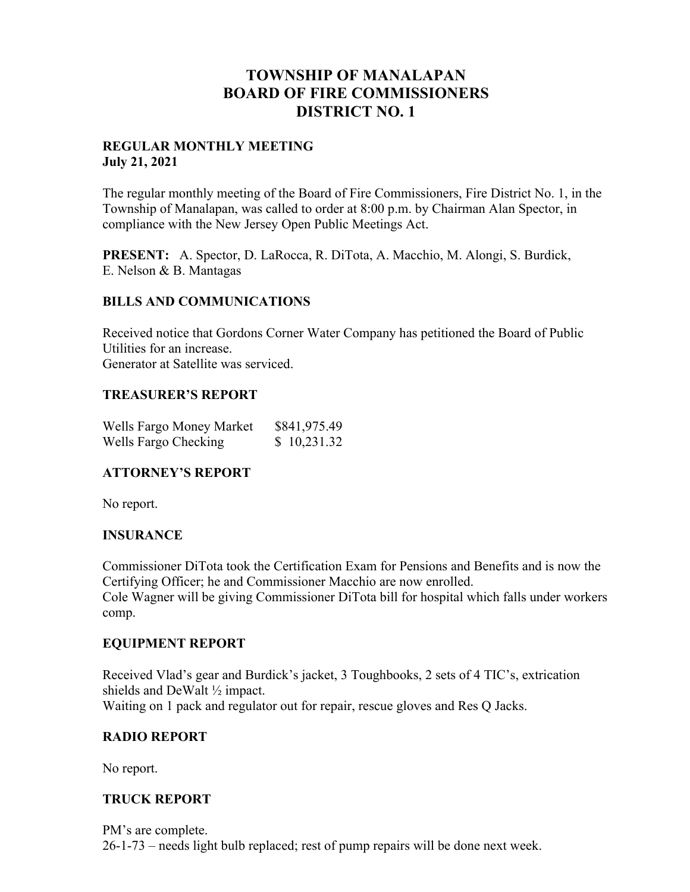# **TOWNSHIP OF MANALAPAN BOARD OF FIRE COMMISSIONERS DISTRICT NO. 1**

#### **REGULAR MONTHLY MEETING July 21, 2021**

The regular monthly meeting of the Board of Fire Commissioners, Fire District No. 1, in the Township of Manalapan, was called to order at 8:00 p.m. by Chairman Alan Spector, in compliance with the New Jersey Open Public Meetings Act.

**PRESENT:** A. Spector, D. LaRocca, R. DiTota, A. Macchio, M. Alongi, S. Burdick, E. Nelson & B. Mantagas

## **BILLS AND COMMUNICATIONS**

Received notice that Gordons Corner Water Company has petitioned the Board of Public Utilities for an increase. Generator at Satellite was serviced.

#### **TREASURER'S REPORT**

| Wells Fargo Money Market | \$841,975.49 |
|--------------------------|--------------|
| Wells Fargo Checking     | \$10,231.32  |

## **ATTORNEY'S REPORT**

No report.

#### **INSURANCE**

Commissioner DiTota took the Certification Exam for Pensions and Benefits and is now the Certifying Officer; he and Commissioner Macchio are now enrolled. Cole Wagner will be giving Commissioner DiTota bill for hospital which falls under workers comp.

#### **EQUIPMENT REPORT**

Received Vlad's gear and Burdick's jacket, 3 Toughbooks, 2 sets of 4 TIC's, extrication shields and DeWalt ½ impact. Waiting on 1 pack and regulator out for repair, rescue gloves and Res Q Jacks.

## **RADIO REPORT**

No report.

#### **TRUCK REPORT**

PM's are complete. 26-1-73 – needs light bulb replaced; rest of pump repairs will be done next week.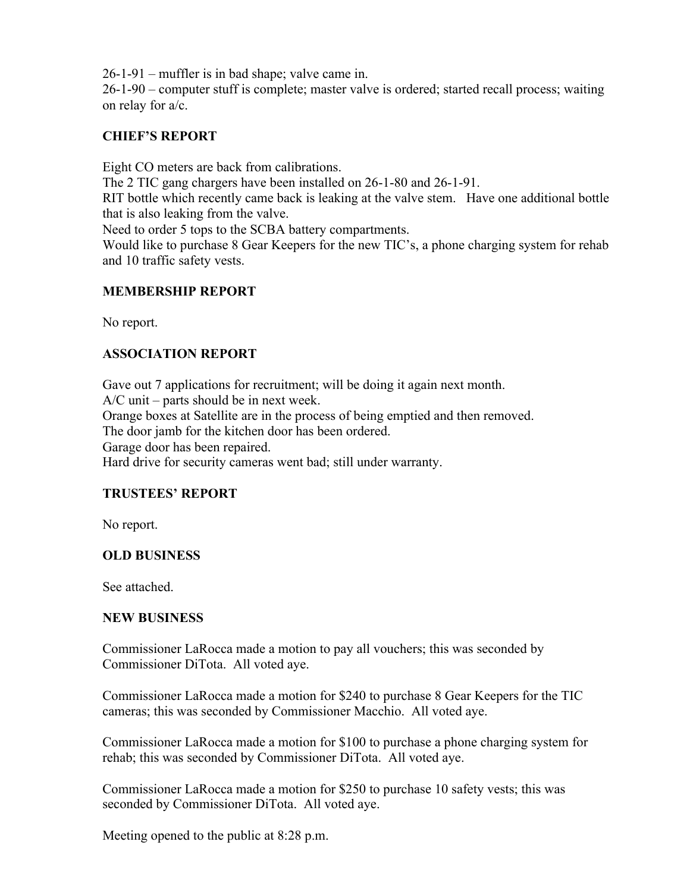26-1-91 – muffler is in bad shape; valve came in.

26-1-90 – computer stuff is complete; master valve is ordered; started recall process; waiting on relay for a/c.

## **CHIEF'S REPORT**

Eight CO meters are back from calibrations.

The 2 TIC gang chargers have been installed on 26-1-80 and 26-1-91.

RIT bottle which recently came back is leaking at the valve stem. Have one additional bottle that is also leaking from the valve.

Need to order 5 tops to the SCBA battery compartments.

Would like to purchase 8 Gear Keepers for the new TIC's, a phone charging system for rehab and 10 traffic safety vests.

## **MEMBERSHIP REPORT**

No report.

## **ASSOCIATION REPORT**

Gave out 7 applications for recruitment; will be doing it again next month. A/C unit – parts should be in next week. Orange boxes at Satellite are in the process of being emptied and then removed. The door jamb for the kitchen door has been ordered. Garage door has been repaired. Hard drive for security cameras went bad; still under warranty.

## **TRUSTEES' REPORT**

No report.

#### **OLD BUSINESS**

See attached.

#### **NEW BUSINESS**

Commissioner LaRocca made a motion to pay all vouchers; this was seconded by Commissioner DiTota. All voted aye.

Commissioner LaRocca made a motion for \$240 to purchase 8 Gear Keepers for the TIC cameras; this was seconded by Commissioner Macchio. All voted aye.

Commissioner LaRocca made a motion for \$100 to purchase a phone charging system for rehab; this was seconded by Commissioner DiTota. All voted aye.

Commissioner LaRocca made a motion for \$250 to purchase 10 safety vests; this was seconded by Commissioner DiTota. All voted aye.

Meeting opened to the public at 8:28 p.m.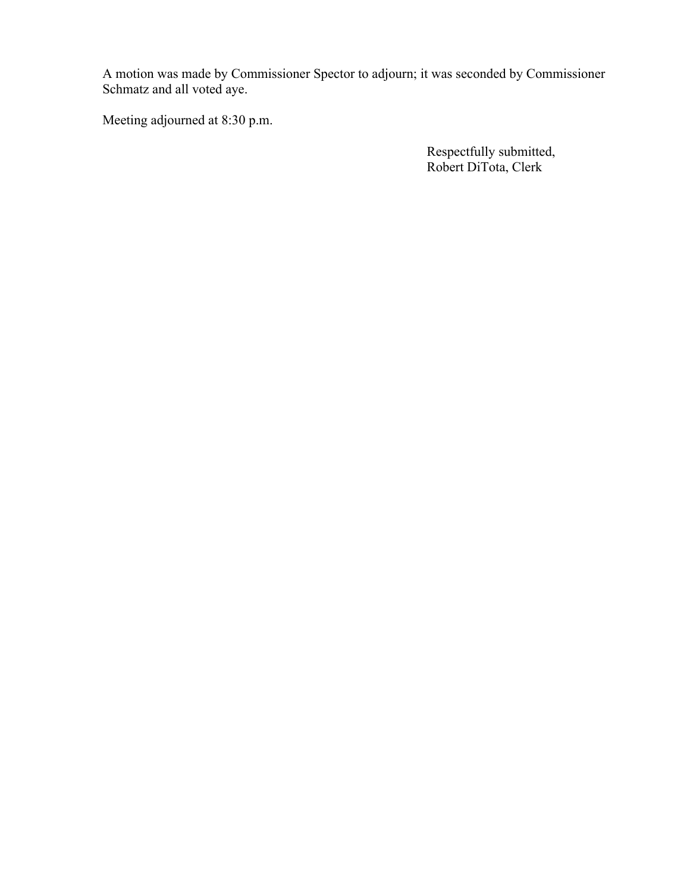A motion was made by Commissioner Spector to adjourn; it was seconded by Commissioner Schmatz and all voted aye.

Meeting adjourned at 8:30 p.m.

 Respectfully submitted, Robert DiTota, Clerk